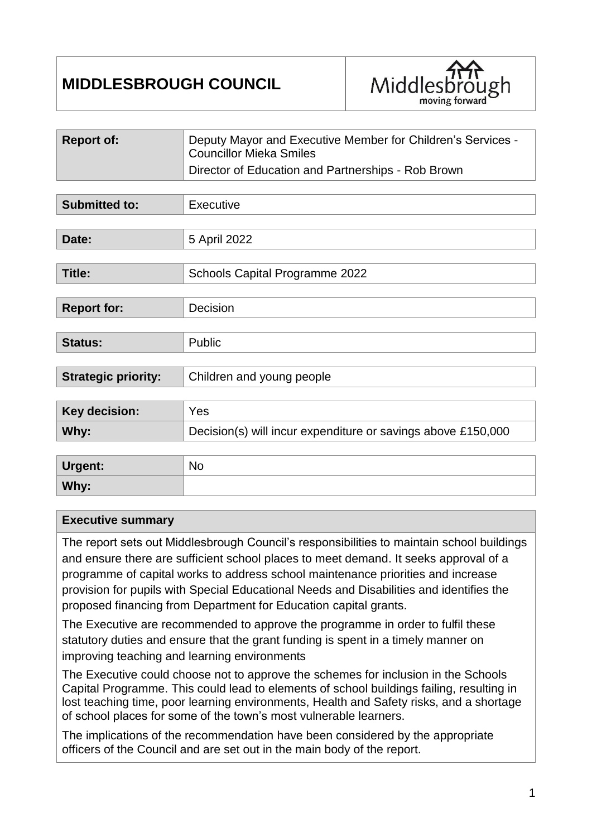# **MIDDLESBROUGH COUNCIL**



| <b>Report of:</b>          | Deputy Mayor and Executive Member for Children's Services -<br><b>Councillor Mieka Smiles</b> |  |
|----------------------------|-----------------------------------------------------------------------------------------------|--|
|                            | Director of Education and Partnerships - Rob Brown                                            |  |
|                            |                                                                                               |  |
| <b>Submitted to:</b>       | Executive                                                                                     |  |
|                            |                                                                                               |  |
| Date:                      | 5 April 2022                                                                                  |  |
|                            |                                                                                               |  |
| Title:                     | <b>Schools Capital Programme 2022</b>                                                         |  |
|                            |                                                                                               |  |
| <b>Report for:</b>         | Decision                                                                                      |  |
|                            |                                                                                               |  |
| <b>Status:</b>             | Public                                                                                        |  |
|                            |                                                                                               |  |
| <b>Strategic priority:</b> | Children and young people                                                                     |  |
|                            |                                                                                               |  |
| <b>Key decision:</b>       | <b>Yes</b>                                                                                    |  |
| Why:                       | Decision(s) will incur expenditure or savings above £150,000                                  |  |
|                            |                                                                                               |  |
|                            |                                                                                               |  |

| Urgent: | <b>No</b> |
|---------|-----------|
| Why:    |           |

#### **Executive summary**

The report sets out Middlesbrough Council's responsibilities to maintain school buildings and ensure there are sufficient school places to meet demand. It seeks approval of a programme of capital works to address school maintenance priorities and increase provision for pupils with Special Educational Needs and Disabilities and identifies the proposed financing from Department for Education capital grants.

The Executive are recommended to approve the programme in order to fulfil these statutory duties and ensure that the grant funding is spent in a timely manner on improving teaching and learning environments

The Executive could choose not to approve the schemes for inclusion in the Schools Capital Programme. This could lead to elements of school buildings failing, resulting in lost teaching time, poor learning environments, Health and Safety risks, and a shortage of school places for some of the town's most vulnerable learners.

The implications of the recommendation have been considered by the appropriate officers of the Council and are set out in the main body of the report.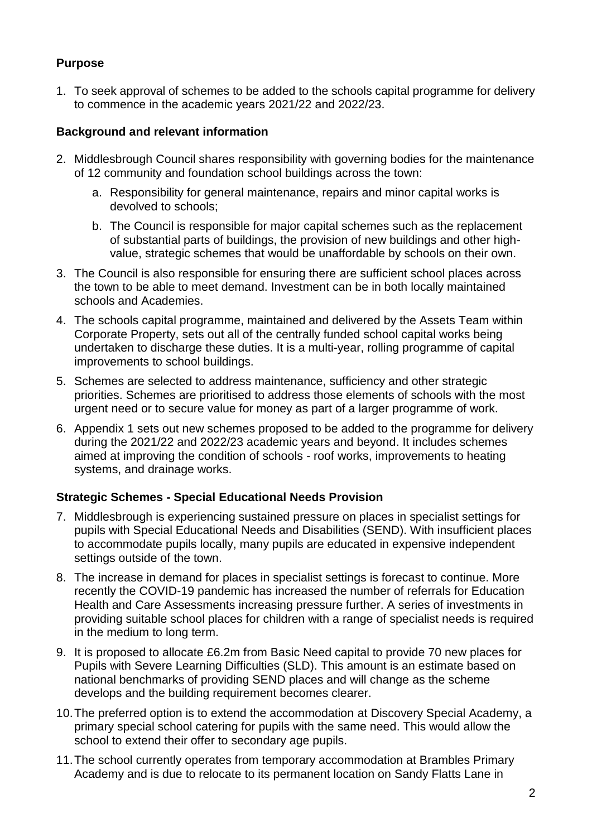# **Purpose**

1. To seek approval of schemes to be added to the schools capital programme for delivery to commence in the academic years 2021/22 and 2022/23.

## **Background and relevant information**

- 2. Middlesbrough Council shares responsibility with governing bodies for the maintenance of 12 community and foundation school buildings across the town:
	- a. Responsibility for general maintenance, repairs and minor capital works is devolved to schools;
	- b. The Council is responsible for major capital schemes such as the replacement of substantial parts of buildings, the provision of new buildings and other highvalue, strategic schemes that would be unaffordable by schools on their own.
- 3. The Council is also responsible for ensuring there are sufficient school places across the town to be able to meet demand. Investment can be in both locally maintained schools and Academies.
- 4. The schools capital programme, maintained and delivered by the Assets Team within Corporate Property, sets out all of the centrally funded school capital works being undertaken to discharge these duties. It is a multi-year, rolling programme of capital improvements to school buildings.
- 5. Schemes are selected to address maintenance, sufficiency and other strategic priorities. Schemes are prioritised to address those elements of schools with the most urgent need or to secure value for money as part of a larger programme of work.
- 6. Appendix 1 sets out new schemes proposed to be added to the programme for delivery during the 2021/22 and 2022/23 academic years and beyond. It includes schemes aimed at improving the condition of schools - roof works, improvements to heating systems, and drainage works.

# **Strategic Schemes - Special Educational Needs Provision**

- 7. Middlesbrough is experiencing sustained pressure on places in specialist settings for pupils with Special Educational Needs and Disabilities (SEND). With insufficient places to accommodate pupils locally, many pupils are educated in expensive independent settings outside of the town.
- 8. The increase in demand for places in specialist settings is forecast to continue. More recently the COVID-19 pandemic has increased the number of referrals for Education Health and Care Assessments increasing pressure further. A series of investments in providing suitable school places for children with a range of specialist needs is required in the medium to long term.
- 9. It is proposed to allocate £6.2m from Basic Need capital to provide 70 new places for Pupils with Severe Learning Difficulties (SLD). This amount is an estimate based on national benchmarks of providing SEND places and will change as the scheme develops and the building requirement becomes clearer.
- 10.The preferred option is to extend the accommodation at Discovery Special Academy, a primary special school catering for pupils with the same need. This would allow the school to extend their offer to secondary age pupils.
- 11.The school currently operates from temporary accommodation at Brambles Primary Academy and is due to relocate to its permanent location on Sandy Flatts Lane in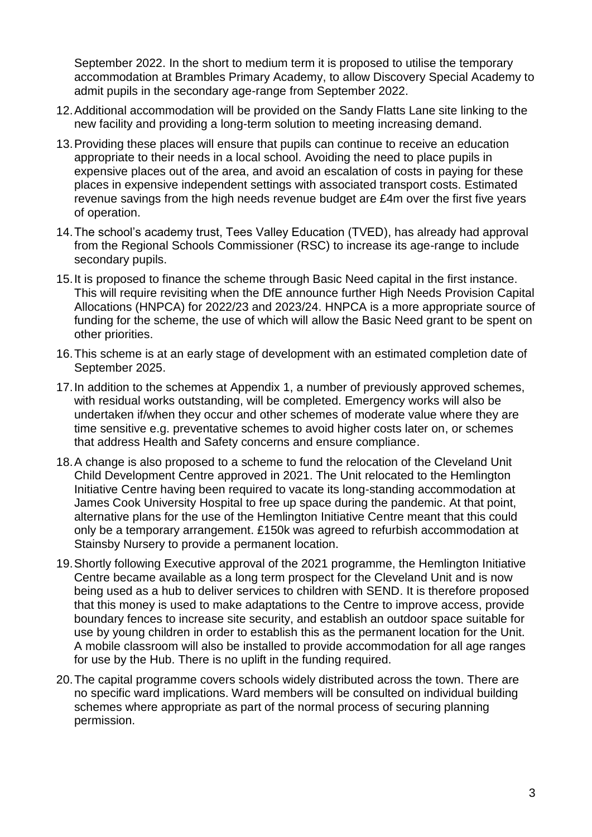September 2022. In the short to medium term it is proposed to utilise the temporary accommodation at Brambles Primary Academy, to allow Discovery Special Academy to admit pupils in the secondary age-range from September 2022.

- 12.Additional accommodation will be provided on the Sandy Flatts Lane site linking to the new facility and providing a long-term solution to meeting increasing demand.
- 13.Providing these places will ensure that pupils can continue to receive an education appropriate to their needs in a local school. Avoiding the need to place pupils in expensive places out of the area, and avoid an escalation of costs in paying for these places in expensive independent settings with associated transport costs. Estimated revenue savings from the high needs revenue budget are £4m over the first five years of operation.
- 14.The school's academy trust, Tees Valley Education (TVED), has already had approval from the Regional Schools Commissioner (RSC) to increase its age-range to include secondary pupils.
- 15.It is proposed to finance the scheme through Basic Need capital in the first instance. This will require revisiting when the DfE announce further High Needs Provision Capital Allocations (HNPCA) for 2022/23 and 2023/24. HNPCA is a more appropriate source of funding for the scheme, the use of which will allow the Basic Need grant to be spent on other priorities.
- 16.This scheme is at an early stage of development with an estimated completion date of September 2025.
- 17.In addition to the schemes at Appendix 1, a number of previously approved schemes, with residual works outstanding, will be completed. Emergency works will also be undertaken if/when they occur and other schemes of moderate value where they are time sensitive e.g. preventative schemes to avoid higher costs later on, or schemes that address Health and Safety concerns and ensure compliance.
- 18.A change is also proposed to a scheme to fund the relocation of the Cleveland Unit Child Development Centre approved in 2021. The Unit relocated to the Hemlington Initiative Centre having been required to vacate its long-standing accommodation at James Cook University Hospital to free up space during the pandemic. At that point, alternative plans for the use of the Hemlington Initiative Centre meant that this could only be a temporary arrangement. £150k was agreed to refurbish accommodation at Stainsby Nursery to provide a permanent location.
- 19.Shortly following Executive approval of the 2021 programme, the Hemlington Initiative Centre became available as a long term prospect for the Cleveland Unit and is now being used as a hub to deliver services to children with SEND. It is therefore proposed that this money is used to make adaptations to the Centre to improve access, provide boundary fences to increase site security, and establish an outdoor space suitable for use by young children in order to establish this as the permanent location for the Unit. A mobile classroom will also be installed to provide accommodation for all age ranges for use by the Hub. There is no uplift in the funding required.
- 20.The capital programme covers schools widely distributed across the town. There are no specific ward implications. Ward members will be consulted on individual building schemes where appropriate as part of the normal process of securing planning permission.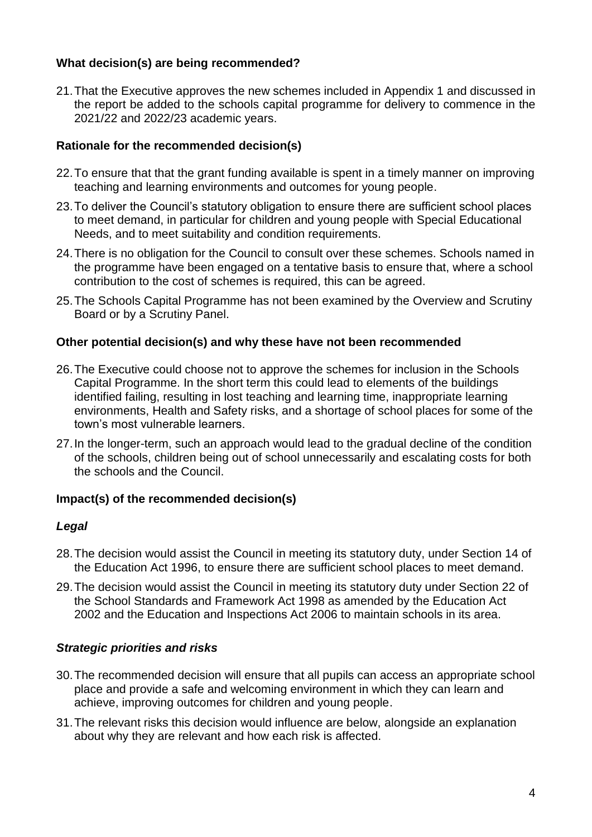#### **What decision(s) are being recommended?**

21.That the Executive approves the new schemes included in Appendix 1 and discussed in the report be added to the schools capital programme for delivery to commence in the 2021/22 and 2022/23 academic years.

## **Rationale for the recommended decision(s)**

- 22.To ensure that that the grant funding available is spent in a timely manner on improving teaching and learning environments and outcomes for young people.
- 23.To deliver the Council's statutory obligation to ensure there are sufficient school places to meet demand, in particular for children and young people with Special Educational Needs, and to meet suitability and condition requirements.
- 24.There is no obligation for the Council to consult over these schemes. Schools named in the programme have been engaged on a tentative basis to ensure that, where a school contribution to the cost of schemes is required, this can be agreed.
- 25.The Schools Capital Programme has not been examined by the Overview and Scrutiny Board or by a Scrutiny Panel.

## **Other potential decision(s) and why these have not been recommended**

- 26.The Executive could choose not to approve the schemes for inclusion in the Schools Capital Programme. In the short term this could lead to elements of the buildings identified failing, resulting in lost teaching and learning time, inappropriate learning environments, Health and Safety risks, and a shortage of school places for some of the town's most vulnerable learners.
- 27.In the longer-term, such an approach would lead to the gradual decline of the condition of the schools, children being out of school unnecessarily and escalating costs for both the schools and the Council.

# **Impact(s) of the recommended decision(s)**

#### *Legal*

- 28.The decision would assist the Council in meeting its statutory duty, under Section 14 of the Education Act 1996, to ensure there are sufficient school places to meet demand.
- 29.The decision would assist the Council in meeting its statutory duty under Section 22 of the School Standards and Framework Act 1998 as amended by the Education Act 2002 and the Education and Inspections Act 2006 to maintain schools in its area.

# *Strategic priorities and risks*

- 30.The recommended decision will ensure that all pupils can access an appropriate school place and provide a safe and welcoming environment in which they can learn and achieve, improving outcomes for children and young people.
- 31.The relevant risks this decision would influence are below, alongside an explanation about why they are relevant and how each risk is affected.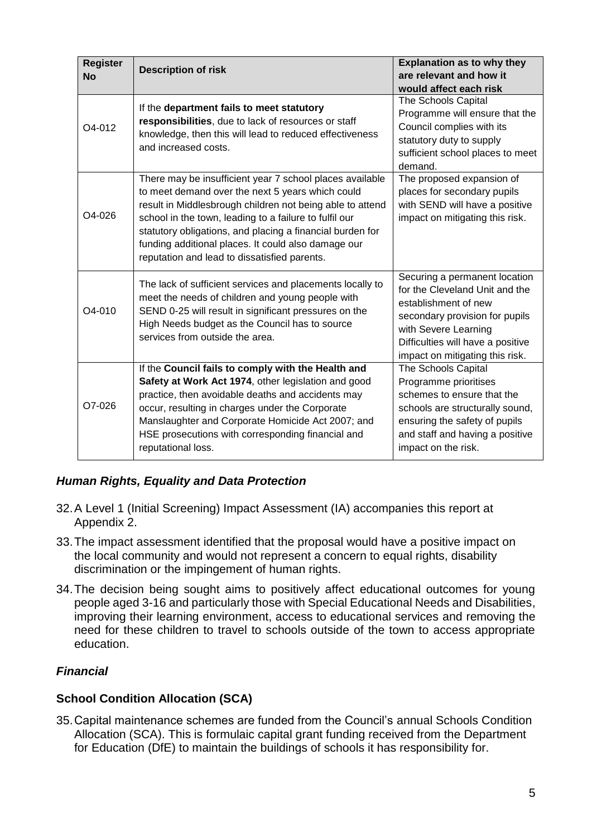| <b>Register</b><br><b>No</b> | <b>Description of risk</b>                                                                                                                                                                                                                                                                                                                                                                              | <b>Explanation as to why they</b><br>are relevant and how it<br>would affect each risk                                                                                                                                    |
|------------------------------|---------------------------------------------------------------------------------------------------------------------------------------------------------------------------------------------------------------------------------------------------------------------------------------------------------------------------------------------------------------------------------------------------------|---------------------------------------------------------------------------------------------------------------------------------------------------------------------------------------------------------------------------|
| O4-012                       | If the department fails to meet statutory<br>responsibilities, due to lack of resources or staff<br>knowledge, then this will lead to reduced effectiveness<br>and increased costs.                                                                                                                                                                                                                     | The Schools Capital<br>Programme will ensure that the<br>Council complies with its<br>statutory duty to supply<br>sufficient school places to meet<br>demand.                                                             |
| $O4 - 026$                   | There may be insufficient year 7 school places available<br>to meet demand over the next 5 years which could<br>result in Middlesbrough children not being able to attend<br>school in the town, leading to a failure to fulfil our<br>statutory obligations, and placing a financial burden for<br>funding additional places. It could also damage our<br>reputation and lead to dissatisfied parents. | The proposed expansion of<br>places for secondary pupils<br>with SEND will have a positive<br>impact on mitigating this risk.                                                                                             |
| O4-010                       | The lack of sufficient services and placements locally to<br>meet the needs of children and young people with<br>SEND 0-25 will result in significant pressures on the<br>High Needs budget as the Council has to source<br>services from outside the area.                                                                                                                                             | Securing a permanent location<br>for the Cleveland Unit and the<br>establishment of new<br>secondary provision for pupils<br>with Severe Learning<br>Difficulties will have a positive<br>impact on mitigating this risk. |
| O7-026                       | If the Council fails to comply with the Health and<br>Safety at Work Act 1974, other legislation and good<br>practice, then avoidable deaths and accidents may<br>occur, resulting in charges under the Corporate<br>Manslaughter and Corporate Homicide Act 2007; and<br>HSE prosecutions with corresponding financial and<br>reputational loss.                                                       | The Schools Capital<br>Programme prioritises<br>schemes to ensure that the<br>schools are structurally sound,<br>ensuring the safety of pupils<br>and staff and having a positive<br>impact on the risk.                  |

# *Human Rights, Equality and Data Protection*

- 32.A Level 1 (Initial Screening) Impact Assessment (IA) accompanies this report at Appendix 2.
- 33.The impact assessment identified that the proposal would have a positive impact on the local community and would not represent a concern to equal rights, disability discrimination or the impingement of human rights.
- 34.The decision being sought aims to positively affect educational outcomes for young people aged 3-16 and particularly those with Special Educational Needs and Disabilities, improving their learning environment, access to educational services and removing the need for these children to travel to schools outside of the town to access appropriate education.

# *Financial*

#### **School Condition Allocation (SCA)**

35.Capital maintenance schemes are funded from the Council's annual Schools Condition Allocation (SCA). This is formulaic capital grant funding received from the Department for Education (DfE) to maintain the buildings of schools it has responsibility for.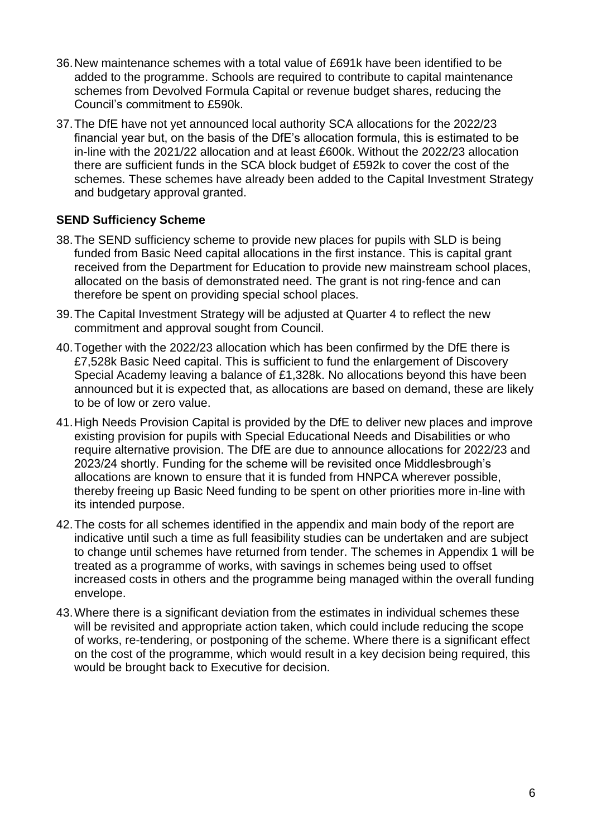- 36.New maintenance schemes with a total value of £691k have been identified to be added to the programme. Schools are required to contribute to capital maintenance schemes from Devolved Formula Capital or revenue budget shares, reducing the Council's commitment to £590k.
- 37.The DfE have not yet announced local authority SCA allocations for the 2022/23 financial year but, on the basis of the DfE's allocation formula, this is estimated to be in-line with the 2021/22 allocation and at least £600k. Without the 2022/23 allocation there are sufficient funds in the SCA block budget of £592k to cover the cost of the schemes. These schemes have already been added to the Capital Investment Strategy and budgetary approval granted.

## **SEND Sufficiency Scheme**

- 38.The SEND sufficiency scheme to provide new places for pupils with SLD is being funded from Basic Need capital allocations in the first instance. This is capital grant received from the Department for Education to provide new mainstream school places, allocated on the basis of demonstrated need. The grant is not ring-fence and can therefore be spent on providing special school places.
- 39.The Capital Investment Strategy will be adjusted at Quarter 4 to reflect the new commitment and approval sought from Council.
- 40.Together with the 2022/23 allocation which has been confirmed by the DfE there is £7,528k Basic Need capital. This is sufficient to fund the enlargement of Discovery Special Academy leaving a balance of £1,328k. No allocations beyond this have been announced but it is expected that, as allocations are based on demand, these are likely to be of low or zero value.
- 41.High Needs Provision Capital is provided by the DfE to deliver new places and improve existing provision for pupils with Special Educational Needs and Disabilities or who require alternative provision. The DfE are due to announce allocations for 2022/23 and 2023/24 shortly. Funding for the scheme will be revisited once Middlesbrough's allocations are known to ensure that it is funded from HNPCA wherever possible, thereby freeing up Basic Need funding to be spent on other priorities more in-line with its intended purpose.
- 42.The costs for all schemes identified in the appendix and main body of the report are indicative until such a time as full feasibility studies can be undertaken and are subject to change until schemes have returned from tender. The schemes in Appendix 1 will be treated as a programme of works, with savings in schemes being used to offset increased costs in others and the programme being managed within the overall funding envelope.
- 43.Where there is a significant deviation from the estimates in individual schemes these will be revisited and appropriate action taken, which could include reducing the scope of works, re-tendering, or postponing of the scheme. Where there is a significant effect on the cost of the programme, which would result in a key decision being required, this would be brought back to Executive for decision.